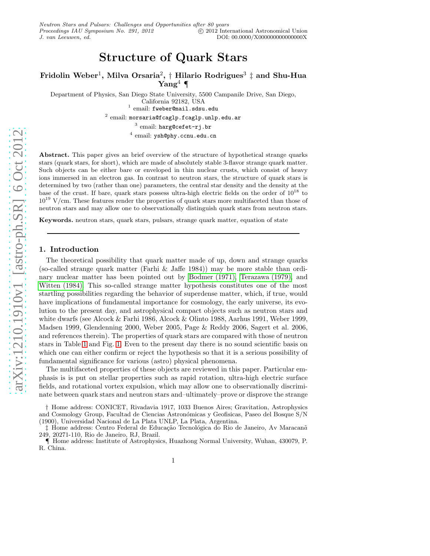# Structure of Quark Stars

Fridolin Weber<sup>1</sup>, Milva Orsaria $^2, \dagger$  Hilario Rodrigues $^3$   $\ddagger$  and Shu-Hua  $\text{Yang}^4$  ¶

Department of Physics, San Diego State University, 5500 Campanile Drive, San Diego, California 92182, USA <sup>1</sup> email: fweber@mail.sdsu.edu

 $^2$  email:  ${\tt morsaria@fcaglp.fcaglp.unlp.edu.ar}$ 

 $^3$  email:  $\mathtt{large@cefet-rj.br}$ 

 $^4$  email: ysh@phy.ccnu.edu.cn

Abstract. This paper gives an brief overview of the structure of hypothetical strange quarks stars (quark stars, for short), which are made of absolutely stable 3-flavor strange quark matter. Such objects can be either bare or enveloped in thin nuclear crusts, which consist of heavy ions immersed in an electron gas. In contrast to neutron stars, the structure of quark stars is determined by two (rather than one) parameters, the central star density and the density at the base of the crust. If bare, quark stars possess ultra-high electric fields on the order of 10<sup>18</sup> to  $10^{19}$  V/cm. These features render the properties of quark stars more multifaceted than those of neutron stars and may allow one to observationally distinguish quark stars from neutron stars.

Keywords. neutron stars, quark stars, pulsars, strange quark matter, equation of state

## 1. Introduction

The theoretical possibility that quark matter made of up, down and strange quarks (so-called strange quark matter (Farhi & Jaffe 1984)) may be more stable than ordinary nuclear matter has been pointed out by [Bodmer \(1971\),](#page-5-0) [Terazawa \(1979\),](#page-5-1) and [Witten \(1984\).](#page-5-2) This so-called strange matter hypothesis constitutes one of the most startling possibilities regarding the behavior of superdense matter, which, if true, would have implications of fundamental importance for cosmology, the early universe, its evolution to the present day, and astrophysical compact objects such as neutron stars and white dwarfs (see Alcock & Farhi 1986, Alcock & Olinto 1988, Aarhus 1991, Weber 1999, Madsen 1999, Glendenning 2000, Weber 2005, Page & Reddy 2006, Sagert et al. 2006, and references therein). The properties of quark stars are compared with those of neutron stars in Table [1](#page-1-0) and Fig. [1.](#page-2-0) Even to the present day there is no sound scientific basis on which one can either confirm or reject the hypothesis so that it is a serious possibility of fundamental significance for various (astro) physical phenomena.

The multifaceted properties of these objects are reviewed in this paper. Particular emphasis is is put on stellar properties such as rapid rotation, ultra-high electric surface fields, and rotational vortex expulsion, which may allow one to observationally discriminate between quark stars and neutron stars and–ultimately–prove or disprove the strange

† Home address: CONICET, Rivadavia 1917, 1033 Buenos Aires; Gravitation, Astrophysics and Cosmology Group, Facultad de Ciencias Astronómicas y Geofisicas, Paseo del Bosque S/N (1900), Universidad Nacional de La Plata UNLP, La Plata, Argentina.

‡ Home address: Centro Federal de Educação Tecnológica do Rio de Janeiro, Av Maracanã 249, 20271-110, Rio de Janeiro, RJ, Brazil.

¶ Home address: Institute of Astrophysics, Huazhong Normal University, Wuhan, 430079, P. R. China.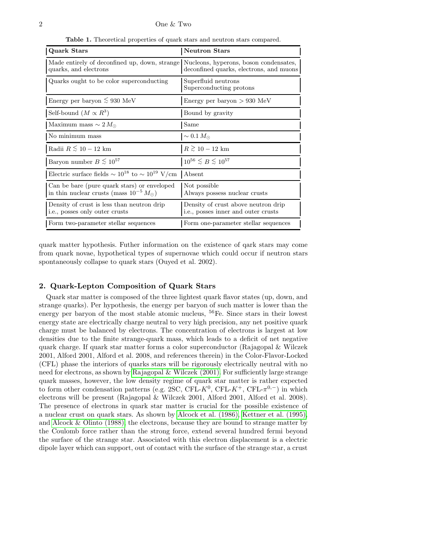<span id="page-1-0"></span>

| <b>Quark Stars</b>                                                                                            | <b>Neutron Stars</b>                                                       |
|---------------------------------------------------------------------------------------------------------------|----------------------------------------------------------------------------|
| Made entirely of deconfined up, down, strange Nucleons, hyperons, boson condensates,<br>quarks, and electrons | deconfined quarks, electrons, and muons                                    |
| Quarks ought to be color superconducting                                                                      | Superfluid neutrons<br>Superconducting protons                             |
| Energy per baryon $\lesssim 930$ MeV                                                                          | Energy per baryon $> 930$ MeV                                              |
| Self-bound $(M \propto R^3)$                                                                                  | Bound by gravity                                                           |
| Maximum mass $\sim 2 M_{\odot}$                                                                               | Same                                                                       |
| No minimum mass                                                                                               | $\sim 0.1 M_{\odot}$                                                       |
| Radii $R \stackrel{\textstyle<}{\sim} 10-12$ km                                                               | $R \stackrel{\textstyle >}{\sim} 10-12$ km                                 |
| Baryon number $B \stackrel{\textstyle<}{\sim} 10^{57}$                                                        | $10^{56} \le B \le 10^{57}$                                                |
| Electric surface fields $\sim 10^{18}$ to $\sim 10^{19}$ V/cm Absent                                          |                                                                            |
| Can be bare (pure quark stars) or enveloped<br>in thin nuclear crusts (mass $10^{-5} M_{\odot}$ )             | Not possible<br>Always possess nuclear crusts                              |
| Density of crust is less than neutron drip<br>i.e., posses only outer crusts                                  | Density of crust above neutron drip<br>i.e., posses inner and outer crusts |
| Form two-parameter stellar sequences                                                                          | Form one-parameter stellar sequences                                       |

quark matter hypothesis. Futher information on the existence of qark stars may come from quark novae, hypothetical types of supernovae which could occur if neutron stars spontaneously collapse to quark stars (Ouyed et al. 2002).

## 2. Quark-Lepton Composition of Quark Stars

Quark star matter is composed of the three lightest quark flavor states (up, down, and strange quarks). Per hypothesis, the energy per baryon of such matter is lower than the energy per baryon of the most stable atomic nucleus, <sup>56</sup>Fe. Since stars in their lowest energy state are electrically charge neutral to very high precision, any net positive quark charge must be balanced by electrons. The concentration of electrons is largest at low densities due to the finite strange-quark mass, which leads to a deficit of net negative quark charge. If quark star matter forms a color superconductor (Rajagopal & Wilczek 2001, Alford 2001, Alford et al. 2008, and references therein) in the Color-Flavor-Locked (CFL) phase the interiors of quarks stars will be rigorously electrically neutral with no need for electrons, as shown by [Rajagopal & Wilczek \(2001\).](#page-5-3) For sufficiently large strange quark masses, however, the low density regime of quark star matter is rather expected to form other condensation patterns (e.g. 2SC, CFL- $K^0$ , CFL- $K^+$ , CFL- $\pi^{0,-}$ ) in which electrons will be present (Rajagopal & Wilczek 2001, Alford 2001, Alford et al. 2008). The presence of electrons in quark star matter is crucial for the possible existence of a nuclear crust on quark stars. As shown by [Alcock et al. \(1986\),](#page-5-4) [Kettner et al. \(1995\),](#page-5-5) and [Alcock & Olinto \(1988\),](#page-5-6) the electrons, because they are bound to strange matter by the Coulomb force rather than the strong force, extend several hundred fermi beyond the surface of the strange star. Associated with this electron displacement is a electric dipole layer which can support, out of contact with the surface of the strange star, a crust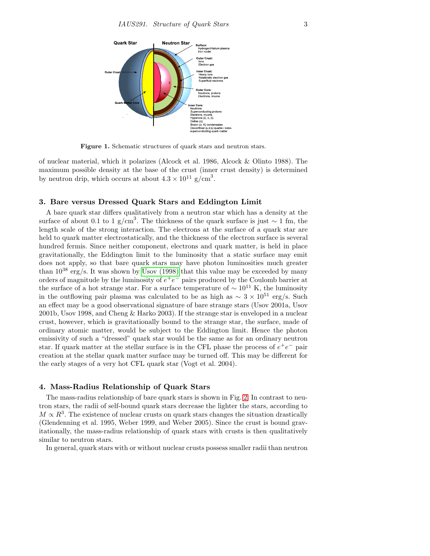

<span id="page-2-0"></span>Figure 1. Schematic structures of quark stars and neutron stars.

of nuclear material, which it polarizes (Alcock et al. 1986, Alcock & Olinto 1988). The maximum possible density at the base of the crust (inner crust density) is determined by neutron drip, which occurs at about  $4.3 \times 10^{11}$  g/cm<sup>3</sup>.

## 3. Bare versus Dressed Quark Stars and Eddington Limit

A bare quark star differs qualitatively from a neutron star which has a density at the surface of about 0.1 to 1 g/cm<sup>3</sup>. The thickness of the quark surface is just  $\sim 1$  fm, the length scale of the strong interaction. The electrons at the surface of a quark star are held to quark matter electrostatically, and the thickness of the electron surface is several hundred fermis. Since neither component, electrons and quark matter, is held in place gravitationally, the Eddington limit to the luminosity that a static surface may emit does not apply, so that bare quark stars may have photon luminosities much greater than  $10^{38}$  erg/s. It was shown by [Usov \(1998\)](#page-5-7) that this value may be exceeded by many orders of magnitude by the luminosity of  $e^+e^-$  pairs produced by the Coulomb barrier at the surface of a hot strange star. For a surface temperature of  $\sim 10^{11}$  K, the luminosity in the outflowing pair plasma was calculated to be as high as  $\sim 3 \times 10^{51}$  erg/s. Such an effect may be a good observational signature of bare strange stars (Usov 2001a, Usov 2001b, Usov 1998, and Cheng & Harko 2003). If the strange star is enveloped in a nuclear crust, however, which is gravitationally bound to the strange star, the surface, made of ordinary atomic matter, would be subject to the Eddington limit. Hence the photon emissivity of such a "dressed" quark star would be the same as for an ordinary neutron star. If quark matter at the stellar surface is in the CFL phase the process of  $e^+e^-$  pair creation at the stellar quark matter surface may be turned off. This may be different for the early stages of a very hot CFL quark star (Vogt et al. 2004).

## 4. Mass-Radius Relationship of Quark Stars

The mass-radius relationship of bare quark stars is shown in Fig. [2.](#page-3-0) In contrast to neutron stars, the radii of self-bound quark stars decrease the lighter the stars, according to  $M \propto R^3$ . The existence of nuclear crusts on quark stars changes the situation drastically (Glendenning et al. 1995, Weber 1999, and Weber 2005). Since the crust is bound gravitationally, the mass-radius relationship of quark stars with crusts is then qualitatively similar to neutron stars.

In general, quark stars with or without nuclear crusts possess smaller radii than neutron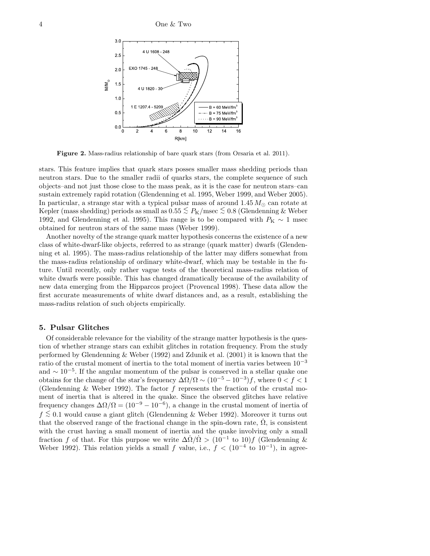

<span id="page-3-0"></span>Figure 2. Mass-radius relationship of bare quark stars (from Orsaria et al. 2011).

stars. This feature implies that quark stars posses smaller mass shedding periods than neutron stars. Due to the smaller radii of quarks stars, the complete sequence of such objects–and not just those close to the mass peak, as it is the case for neutron stars–can sustain extremely rapid rotation (Glendenning et al. 1995, Weber 1999, and Weber 2005). In particular, a strange star with a typical pulsar mass of around  $1.45 M_{\odot}$  can rotate at Kepler (mass shedding) periods as small as  $0.55 \lesssim P_K/\text{msec} \lesssim 0.8$  (Glendenning & Weber 1992, and Glendenning et al. 1995). This range is to be compared with  $P_K \sim 1$  msec obtained for neutron stars of the same mass (Weber 1999).

Another novelty of the strange quark matter hypothesis concerns the existence of a new class of white-dwarf-like objects, referred to as strange (quark matter) dwarfs (Glendenning et al. 1995). The mass-radius relationship of the latter may differs somewhat from the mass-radius relationship of ordinary white-dwarf, which may be testable in the future. Until recently, only rather vague tests of the theoretical mass-radius relation of white dwarfs were possible. This has changed dramatically because of the availability of new data emerging from the Hipparcos project (Provencal 1998). These data allow the first accurate measurements of white dwarf distances and, as a result, establishing the mass-radius relation of such objects empirically.

## 5. Pulsar Glitches

Of considerable relevance for the viability of the strange matter hypothesis is the question of whether strange stars can exhibit glitches in rotation frequency. From the study performed by Glendenning & Weber (1992) and Zdunik et al. (2001) it is known that the ratio of the crustal moment of inertia to the total moment of inertia varies between  $10^{-3}$ and  $\sim 10^{-5}$ . If the angular momentum of the pulsar is conserved in a stellar quake one obtains for the change of the star's frequency  $\Delta\Omega/\Omega \sim (10^{-5} - 10^{-3})f$ , where  $0 < f < 1$ (Glendenning & Weber 1992). The factor  $f$  represents the fraction of the crustal moment of inertia that is altered in the quake. Since the observed glitches have relative frequency changes  $\Delta\Omega/\Omega = (10^{-9} - 10^{-6})$ , a change in the crustal moment of inertia of f <<sup>∼</sup> 0.1 would cause a giant glitch (Glendenning & Weber 1992). Moreover it turns out that the observed range of the fractional change in the spin-down rate,  $\Omega$ , is consistent with the crust having a small moment of inertia and the quake involving only a small fraction f of that. For this purpose we write  $\Delta \dot{\Omega}/\dot{\Omega} > (10^{-1} \text{ to } 10)f$  (Glendenning & Weber 1992). This relation yields a small f value, i.e.,  $f < (10^{-4} \text{ to } 10^{-1})$ , in agree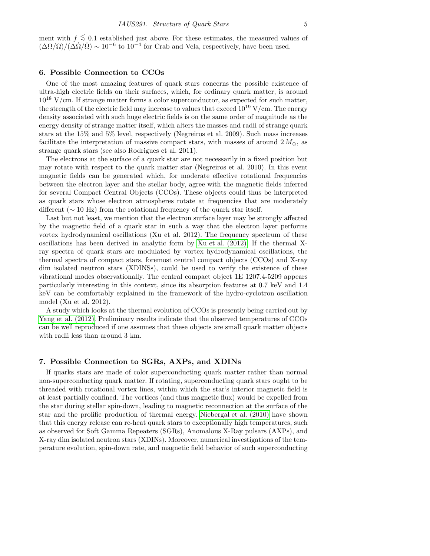ment with  $f \lesssim 0.1$  established just above. For these estimates, the measured values of  $(\Delta\Omega/\Omega)/(\Delta\Omega/\Omega) \sim 10^{-6}$  to  $10^{-4}$  for Crab and Vela, respectively, have been used.

# 6. Possible Connection to CCOs

One of the most amazing features of quark stars concerns the possible existence of ultra-high electric fields on their surfaces, which, for ordinary quark matter, is around  $10^{18}$  V/cm. If strange matter forms a color superconductor, as expected for such matter, the strength of the electric field may increase to values that exceed  $10^{19}$  V/cm. The energy density associated with such huge electric fields is on the same order of magnitude as the energy density of strange matter itself, which alters the masses and radii of strange quark stars at the 15% and 5% level, respectively (Negreiros et al. 2009). Such mass increases facilitate the interpretation of massive compact stars, with masses of around  $2 M_{\odot}$ , as strange quark stars (see also Rodrigues et al. 2011).

The electrons at the surface of a quark star are not necessarily in a fixed position but may rotate with respect to the quark matter star (Negreiros et al. 2010). In this event magnetic fields can be generated which, for moderate effective rotational frequencies between the electron layer and the stellar body, agree with the magnetic fields inferred for several Compact Central Objects (CCOs). These objects could thus be interpreted as quark stars whose electron atmospheres rotate at frequencies that are moderately different ( $\sim$  10 Hz) from the rotational frequency of the quark star itself.

Last but not least, we mention that the electron surface layer may be strongly affected by the magnetic field of a quark star in such a way that the electron layer performs vortex hydrodynamical oscillations (Xu et al. 2012). The frequency spectrum of these oscillations has been derived in analytic form by [Xu et al. \(2012\).](#page-5-8) If the thermal Xray spectra of quark stars are modulated by vortex hydrodynamical oscillations, the thermal spectra of compact stars, foremost central compact objects (CCOs) and X-ray dim isolated neutron stars (XDINSs), could be used to verify the existence of these vibrational modes observationally. The central compact object 1E 1207.4-5209 appears particularly interesting in this context, since its absorption features at 0.7 keV and 1.4 keV can be comfortably explained in the framework of the hydro-cyclotron oscillation model (Xu et al. 2012).

A study which looks at the thermal evolution of CCOs is presently being carried out by [Yang et al. \(2012\).](#page-5-9) Preliminary results indicate that the observed temperatures of CCOs can be well reproduced if one assumes that these objects are small quark matter objects with radii less than around 3 km.

## 7. Possible Connection to SGRs, AXPs, and XDINs

If quarks stars are made of color superconducting quark matter rather than normal non-superconducting quark matter. If rotating, superconducting quark stars ought to be threaded with rotational vortex lines, within which the star's interior magnetic field is at least partially confined. The vortices (and thus magnetic flux) would be expelled from the star during stellar spin-down, leading to magnetic reconnection at the surface of the star and the prolific production of thermal energy. [Niebergal et al. \(2010\)](#page-5-10) have shown that this energy release can re-heat quark stars to exceptionally high temperatures, such as observed for Soft Gamma Repeaters (SGRs), Anomalous X-Ray pulsars (AXPs), and X-ray dim isolated neutron stars (XDINs). Moreover, numerical investigations of the temperature evolution, spin-down rate, and magnetic field behavior of such superconducting